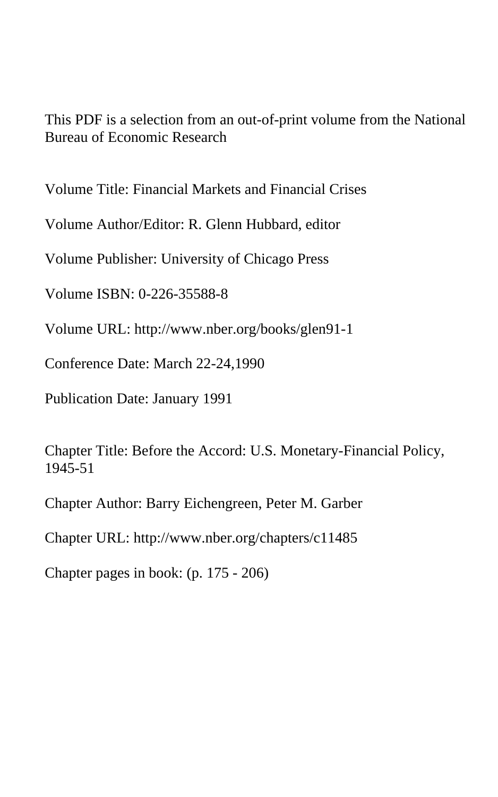This PDF is a selection from an out-of-print volume from the National Bureau of Economic Research

Volume Title: Financial Markets and Financial Crises

Volume Author/Editor: R. Glenn Hubbard, editor

Volume Publisher: University of Chicago Press

Volume ISBN: 0-226-35588-8

Volume URL: http://www.nber.org/books/glen91-1

Conference Date: March 22-24,1990

Publication Date: January 1991

Chapter Title: Before the Accord: U.S. Monetary-Financial Policy, 1945-51

Chapter Author: Barry Eichengreen, Peter M. Garber

Chapter URL: http://www.nber.org/chapters/c11485

Chapter pages in book: (p. 175 - 206)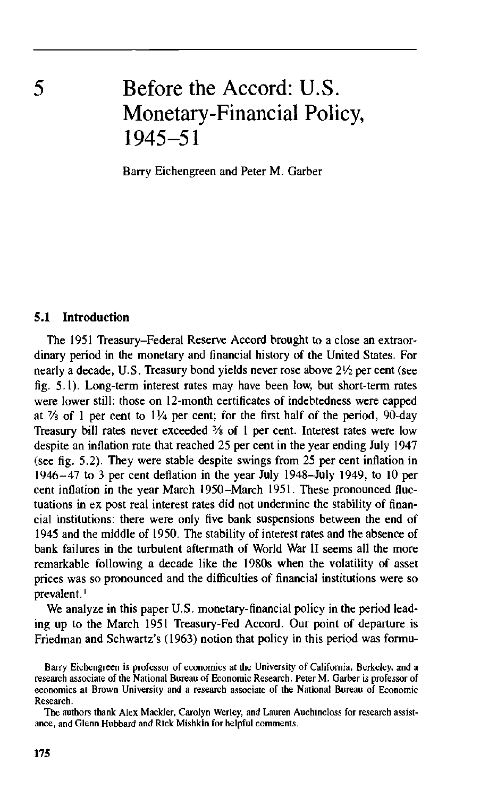# Before the Accord: U.S. Monetary-Financial Policy, 1945-51

Barry Eichengreen and Peter M. Garber

#### **5.1 Introduction**

The 1951 Treasury-Federal Reserve Accord brought to a close an extraordinary period in the monetary and financial history of the United States. For nearly a decade, U.S. Treasury bond yields never rose above 2½ per cent (see fig. 5.1). Long-term interest rates may have been low, but short-term rates were lower still: those on 12-month certificates of indebtedness were capped at % of 1 per cent to *WA* per cent; for the first half of the period, 90-day Treasury bill rates never exceeded <sup>3</sup>/8 of 1 per cent. Interest rates were low despite an inflation rate that reached 25 per cent in the year ending July 1947 (see fig. 5.2). They were stable despite swings from 25 per cent inflation in 1946-47 to 3 per cent deflation in the year July 1948-July 1949, to 10 per cent inflation in the year March 1950-March 1951. These pronounced fluctuations in ex post real interest rates did not undermine the stability of financial institutions: there were only five bank suspensions between the end of 1945 and the middle of 1950. The stability of interest rates and the absence of bank failures in the turbulent aftermath of World War II seems all the more remarkable following a decade like the 1980s when the volatility of asset prices was so pronounced and the difficulties of financial institutions were so prevalent.<sup>1</sup>

We analyze in this paper U.S. monetary-financial policy in the period leading up to the March 1951 Treasury-Fed Accord. Our point of departure is Friedman and Schwartz's (1963) notion that policy in this period was formu-

Barry Eichengreen is professor of economics at the University of California, Berkeley, and a research associate of the National Bureau of Economic Research. Peter M. Garber is professor of economics at Brown University and a research associate of the National Bureau of Economic Research.

The authors thank Alex Mackler, Carolyn Werley, and Lauren Auchincloss for research assistance, and Glenn Hubbard and Rick Mishkin for helpful comments.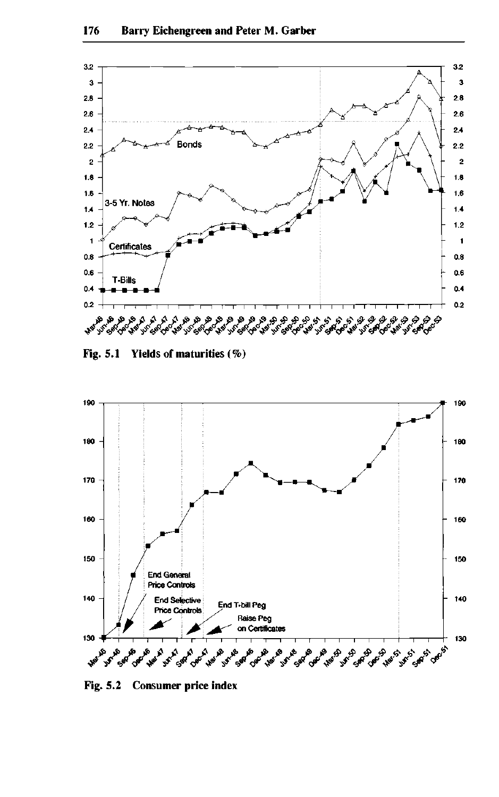

**Fig. 5.1 Yields of maturities (%)**



**Fig. 5.2 Consumer price index**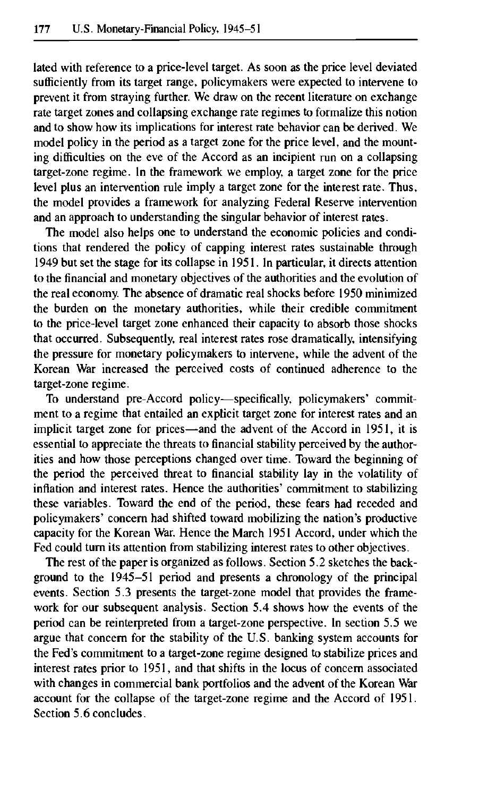lated with reference to a price-level target. As soon as the price level deviated sufficiently from its target range, policymakers were expected to intervene to prevent it from straying further. We draw on the recent literature on exchange rate target zones and collapsing exchange rate regimes to formalize this notion and to show how its implications for interest rate behavior can be derived. We model policy in the period as a target zone for the price level, and the mounting difficulties on the eve of the Accord as an incipient run on a collapsing target-zone regime. In the framework we employ, a target zone for the price level plus an intervention rule imply a target zone for the interest rate. Thus, the model provides a framework for analyzing Federal Reserve intervention and an approach to understanding the singular behavior of interest rates.

The model also helps one to understand the economic policies and conditions that rendered the policy of capping interest rates sustainable through 1949 but set the stage for its collapse in 1951. In particular, it directs attention to the financial and monetary objectives of the authorities and the evolution of the real economy. The absence of dramatic real shocks before 1950 minimized the burden on the monetary authorities, while their credible commitment to the price-level target zone enhanced their capacity to absorb those shocks that occurred. Subsequently, real interest rates rose dramatically, intensifying the pressure for monetary policymakers to intervene, while the advent of the Korean War increased the perceived costs of continued adherence to the target-zone regime.

To understand pre-Accord policy—specifically, policymakers' commitment to a regime that entailed an explicit target zone for interest rates and an implicit target zone for prices—and the advent of the Accord in 1951, it is essential to appreciate the threats to financial stability perceived by the authorities and how those perceptions changed over time. Toward the beginning of the period the perceived threat to financial stability lay in the volatility of inflation and interest rates. Hence the authorities' commitment to stabilizing these variables. Toward the end of the period, these fears had receded and policymakers' concern had shifted toward mobilizing the nation's productive capacity for the Korean War. Hence the March 1951 Accord, under which the Fed could turn its attention from stabilizing interest rates to other objectives.

The rest of the paper is organized as follows. Section 5.2 sketches the background to the 1945-51 period and presents a chronology of the principal events. Section 5.3 presents the target-zone model that provides the framework for our subsequent analysis. Section 5.4 shows how the events of the period can be reinterpreted from a target-zone perspective. In section 5.5 we argue that concern for the stability of the U.S. banking system accounts for the Fed's commitment to a target-zone regime designed to stabilize prices and interest rates prior to 1951, and that shifts in the locus of concern associated with changes in commercial bank portfolios and the advent of the Korean War account for the collapse of the target-zone regime and the Accord of 1951. Section 5.6 concludes.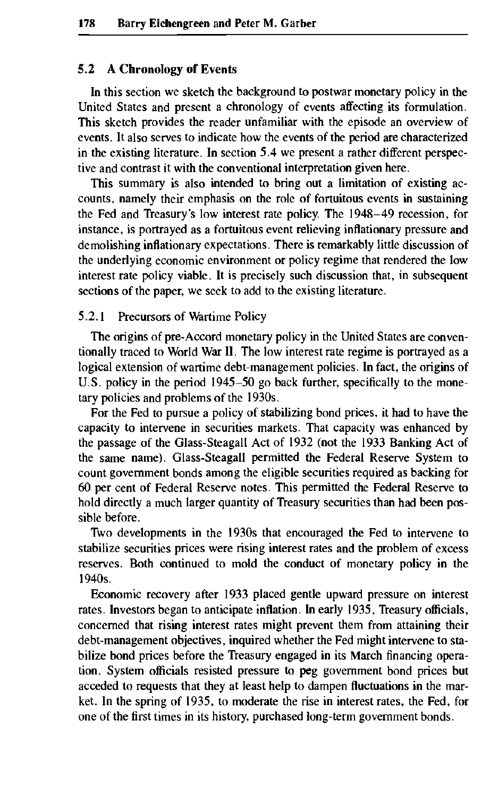#### **5.2 A Chronology of Events**

In this section we sketch the background to postwar monetary policy in the United States and present a chronology of events affecting its formulation. This sketch provides the reader unfamiliar with the episode an overview of events. It also serves to indicate how the events of the period are characterized in the existing literature. In section 5.4 we present a rather different perspective and contrast it with the conventional interpretation given here.

This summary is also intended to bring out a limitation of existing accounts, namely their emphasis on the role of fortuitous events in sustaining the Fed and Treasury's low interest rate policy. The 1948-49 recession, for instance, is portrayed as a fortuitous event relieving inflationary pressure and demolishing inflationary expectations. There is remarkably little discussion of the underlying economic environment or policy regime that rendered the low interest rate policy viable. It is precisely such discussion that, in subsequent sections of the paper, we seek to add to the existing literature.

### 5.2.1 Precursors of Wartime Policy

The origins of pre-Accord monetary policy in the United States are conventionally traced to World War II. The low interest rate regime is portrayed as a logical extension of wartime debt-management policies. In fact, the origins of U.S. policy in the period 1945-50 go back further, specifically to the monetary policies and problems of the 1930s.

For the Fed to pursue a policy of stabilizing bond prices, it had to have the capacity to intervene in securities markets. That capacity was enhanced by the passage of the Glass-Steagall Act of 1932 (not the 1933 Banking Act of the same name). Glass-Steagall permitted the Federal Reserve System to count government bonds among the eligible securities required as backing for 60 per cent of Federal Reserve notes. This permitted the Federal Reserve to hold directly a much larger quantity of Treasury securities than had been possible before.

Two developments in the 1930s that encouraged the Fed to intervene to stabilize securities prices were rising interest rates and the problem of excess reserves. Both continued to mold the conduct of monetary policy in the 1940s.

Economic recovery after 1933 placed gentle upward pressure on interest rates. Investors began to anticipate inflation. In early 1935, Treasury officials, concerned that rising interest rates might prevent them from attaining their debt-management objectives, inquired whether the Fed might intervene to stabilize bond prices before the Treasury engaged in its March financing operation. System officials resisted pressure to peg government bond prices but acceded to requests that they at least help to dampen fluctuations in the market. In the spring of 1935, to moderate the rise in interest rates, the Fed, for one of the first times in its history, purchased long-term government bonds.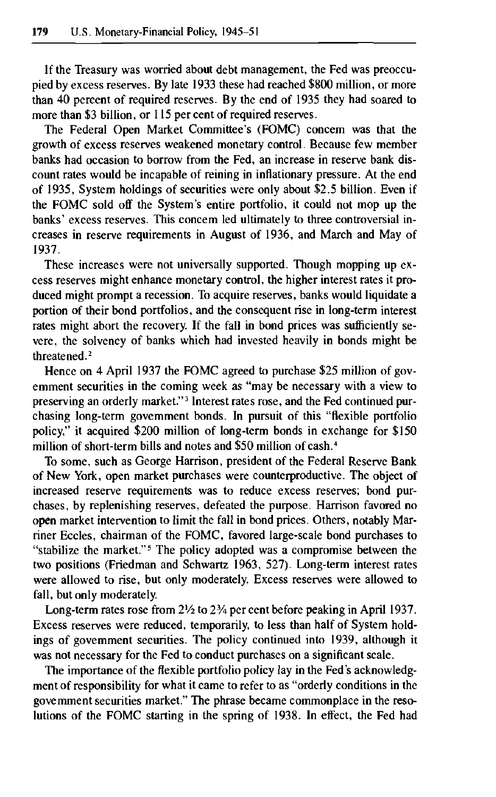If the Treasury was worried about debt management, the Fed was preoccupied by excess reserves. By late 1933 these had reached \$800 million, or more than 40 percent of required reserves. By the end of 1935 they had soared to more than \$3 billion, or 115 per cent of required reserves.

The Federal Open Market Committee's (FOMC) concern was that the growth of excess reserves weakened monetary control. Because few member banks had occasion to borrow from the Fed, an increase in reserve bank discount rates would be incapable of reining in inflationary pressure. At the end of 1935, System holdings of securities were only about \$2.5 billion. Even if the FOMC sold off the System's entire portfolio, it could not mop up the banks' excess reserves. This concem led ultimately to three controversial increases in reserve requirements in August of 1936, and March and May of 1937.

These increases were not universally supported. Though mopping up excess reserves might enhance monetary control, the higher interest rates it produced might prompt a recession. To acquire reserves, banks would liquidate a portion of their bond portfolios, and the consequent rise in long-term interest rates might abort the recovery. If the fall in bond prices was sufficiently severe, the solvency of banks which had invested heavily in bonds might be threatened.<sup>2</sup>

Hence on 4 April 1937 the FOMC agreed to purchase \$25 million of govemment securities in the coming week as "may be necessary with a view to preserving an orderly market."<sup>3</sup> Interest rates rose, and the Fed continued purchasing long-term government bonds. In pursuit of this "flexible portfolio policy," it acquired \$200 million of long-term bonds in exchange for \$150 million of short-term bills and notes and \$50 million of cash.<sup>4</sup>

To some, such as George Harrison, president of the Federal Reserve Bank of New York, open market purchases were counterproductive. The object of increased reserve requirements was to reduce excess reserves; bond purchases, by replenishing reserves, defeated the purpose. Harrison favored no open market intervention to limit the fall in bond prices. Others, notably Marriner Eccles, chairman of the FOMC, favored large-scale bond purchases to "stabilize the market."<sup>5</sup> The policy adopted was a compromise between the two positions (Friedman and Schwartz 1963, 527). Long-term interest rates were allowed to rise, but only moderately. Excess reserves were allowed to fall, but only moderately.

Long-term rates rose from 2½ to 2¾ per cent before peaking in April 1937. Excess reserves were reduced, temporarily, to less than half of System holdings of government securities. The policy continued into 1939, although it was not necessary for the Fed to conduct purchases on a significant scale.

The importance of the flexible portfolio policy lay in the Fed's acknowledgment of responsibility for what it came to refer to as "orderly conditions in the government securities market." The phrase became commonplace in the resolutions of the FOMC starting in the spring of 1938. In effect, the Fed had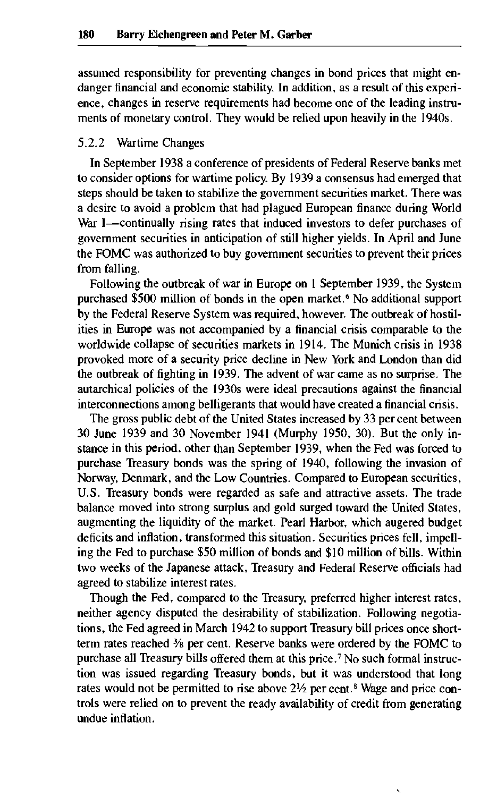assumed responsibility for preventing changes in bond prices that might endanger financial and economic stability. In addition, as a result of this experience, changes in reserve requirements had become one of the leading instruments of monetary control. They would be relied upon heavily in the 1940s.

#### 5.2.2 Wartime Changes

In September 1938 a conference of presidents of Federal Reserve banks met to consider options for wartime policy. By 1939 a consensus had emerged that steps should be taken to stabilize the government securities market. There was a desire to avoid a problem that had plagued European finance during World War I—continually rising rates that induced investors to defer purchases of government securities in anticipation of still higher yields. In April and June the FOMC was authorized to buy government securities to prevent their prices from falling.

Following the outbreak of war in Europe on 1 September 1939, the System purchased \$500 million of bonds in the open market.<sup>6</sup> No additional support by the Federal Reserve System was required, however. The outbreak of hostilities in Europe was not accompanied by a financial crisis comparable to the worldwide collapse of securities markets in 1914. The Munich crisis in 1938 provoked more of a security price decline in New York and London than did the outbreak of fighting in 1939. The advent of war came as no surprise. The autarchical policies of the 1930s were ideal precautions against the financial interconnections among belligerants that would have created a financial crisis.

The gross public debt of the United States increased by 33 per cent between 30 June 1939 and 30 November 1941 (Murphy 1950, 30). But the only instance in this period, other than September 1939, when the Fed was forced to purchase Treasury bonds was the spring of 1940, following the invasion of Norway, Denmark, and the Low Countries. Compared to European securities, U.S. Treasury bonds were regarded as safe and attractive assets. The trade balance moved into strong surplus and gold surged toward the United States, augmenting the liquidity of the market. Pearl Harbor, which augered budget deficits and inflation, transformed this situation. Securities prices fell, impelling the Fed to purchase \$50 million of bonds and \$10 million of bills. Within two weeks of the Japanese attack, Treasury and Federal Reserve officials had agreed to stabilize interest rates.

Though the Fed, compared to the Treasury, preferred higher interest rates, neither agency disputed the desirability of stabilization. Following negotiations, the Fed agreed in March 1942 to support Treasury bill prices once shortterm rates reached <sup>3</sup>/s per cent. Reserve banks were ordered by the FOMC to purchase all Treasury bills offered them at this price.<sup>7</sup> No such formal instruction was issued regarding Treasury bonds, but it was understood that long rates would not be permitted to rise above 21/2 per cent.<sup>8</sup> Wage and price controls were relied on to prevent the ready availability of credit from generating undue inflation.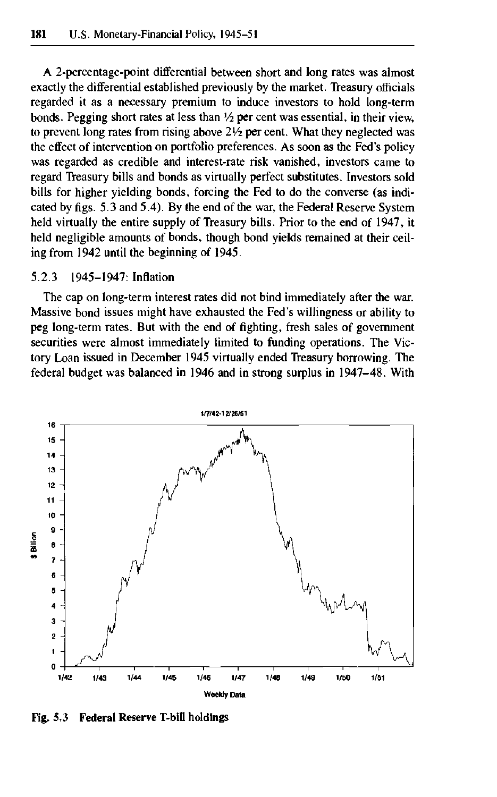A 2-percentage-point differential between short and long rates was almost exactly the differential established previously by the market. Treasury officials regarded it as a necessary premium to induce investors to hold long-term bonds. Pegging short rates at less than  $\frac{1}{2}$  per cent was essential, in their view, to prevent long rates from rising above  $2\frac{1}{2}$  per cent. What they neglected was the effect of intervention on portfolio preferences. As soon as the Fed's policy was regarded as credible and interest-rate risk vanished, investors came to regard Treasury bills and bonds as virtually perfect substitutes. Investors sold bills for higher yielding bonds, forcing the Fed to do the converse (as indicated by figs. 5.3 and 5.4). By the end of the war, the Federal Reserve System held virtually the entire supply of Treasury bills. Prior to the end of 1947, it held negligible amounts of bonds, though bond yields remained at their ceiling from 1942 until the beginning of 1945.

#### 5.2.3 1945-1947: Inflation

The cap on long-term interest rates did not bind immediately after the war. Massive bond issues might have exhausted the Fed's willingness or ability to peg long-term rates. But with the end of fighting, fresh sales of government securities were almost immediately limited to funding operations. The Victory Loan issued in December 1945 virtually ended Treasury borrowing. The federal budget was balanced in 1946 and in strong surplus in 1947-48. With



**Fig. 5.3 Federal Reserve T-bill holdings**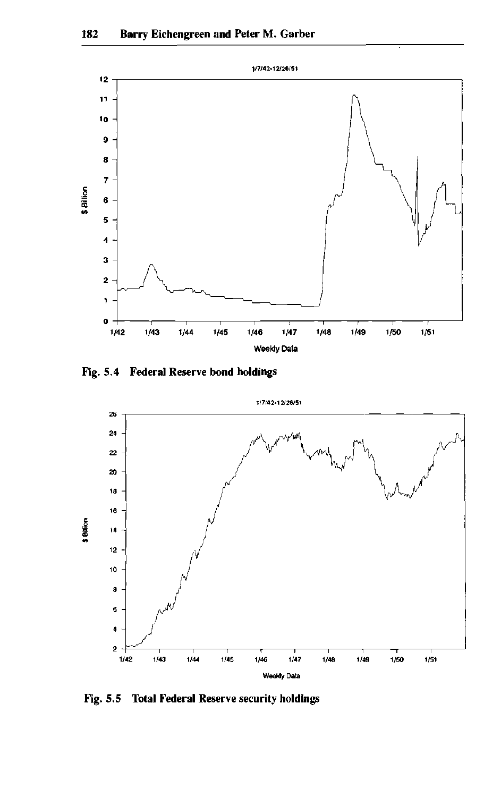

**Fig. 5.4 Federal Reserve bond holdings**



**Fig. 5.5 Total Federal Reserve security holdings**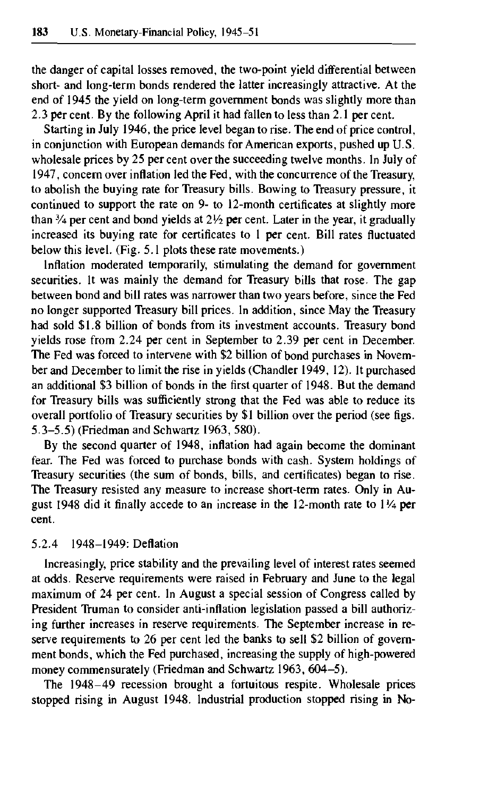the danger of capital losses removed, the two-point yield differential between short- and long-term bonds rendered the latter increasingly attractive. At the end of 1945 the yield on long-term government bonds was slightly more than 2.3 per cent. By the following April it had fallen to less than 2.1 per cent.

Starting in July 1946, the price level began to rise. The end of price control, in conjunction with European demands for American exports, pushed up U.S. wholesale prices by 25 per cent over the succeeding twelve months. In July of 1947, concern over inflation led the Fed, with the concurrence of the Treasury, to abolish the buying rate for Treasury bills. Bowing to Treasury pressure, it continued to support the rate on 9- to 12-month certificates at slightly more than  $\frac{3}{4}$  per cent and bond yields at  $2\frac{1}{2}$  per cent. Later in the year, it gradually increased its buying rate for certificates to 1 per cent. Bill rates fluctuated below this level. (Fig. 5.1 plots these rate movements.)

Inflation moderated temporarily, stimulating the demand for government securities. It was mainly the demand for Treasury bills that rose. The gap between bond and bill rates was narrower than two years before, since the Fed no longer supported Treasury bill prices. In addition, since May the Treasury had sold \$1.8 billion of bonds from its investment accounts. Treasury bond yields rose from 2.24 per cent in September to 2.39 per cent in December. The Fed was forced to intervene with \$2 billion of bond purchases in November and December to limit the rise in yields (Chandler 1949, 12). It purchased an additional \$3 billion of bonds in the first quarter of 1948. But the demand for Treasury bills was sufficiently strong that the Fed was able to reduce its overall portfolio of Treasury securities by \$1 billion over the period (see figs. 5.3-5.5) (Friedman and Schwartz 1963, 580).

By the second quarter of 1948, inflation had again become the dominant fear. The Fed was forced to purchase bonds with cash. System holdings of Treasury securities (the sum of bonds, bills, and certificates) began to rise. The Treasury resisted any measure to increase short-term rates. Only in August 1948 did it finally accede to an increase in the 12-month rate to 11/<sub>4</sub> per cent.

#### 5.2.4 1948-1949: Deflation

Increasingly, price stability and the prevailing level of interest rates seemed at odds. Reserve requirements were raised in February and June to the legal maximum of 24 per cent. In August a special session of Congress called by President Truman to consider anti-inflation legislation passed a bill authorizing further increases in reserve requirements. The September increase in reserve requirements to 26 per cent led the banks to sell \$2 billion of government bonds, which the Fed purchased, increasing the supply of high-powered money commensurately (Friedman and Schwartz 1963, 604-5).

The 1948-49 recession brought a fortuitous respite. Wholesale prices stopped rising in August 1948. Industrial production stopped rising in No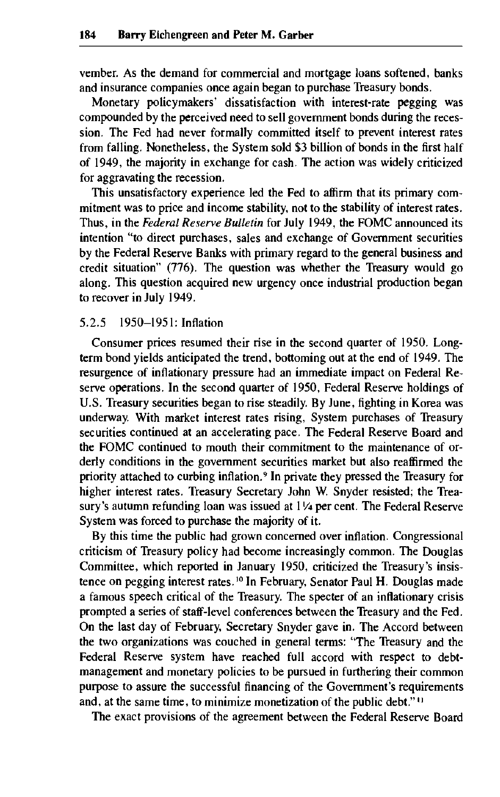vember. As the demand for commercial and mortgage loans softened, banks and insurance companies once again began to purchase Treasury bonds.

Monetary policymakers' dissatisfaction with interest-rate pegging was compounded by the perceived need to sell government bonds during the recession. The Fed had never formally committed itself to prevent interest rates from falling. Nonetheless, the System sold \$3 billion of bonds in the first half of 1949, the majority in exchange for cash. The action was widely criticized for aggravating the recession.

This unsatisfactory experience led the Fed to affirm that its primary commitment was to price and income stability, not to the stability of interest rates. Thus, in the *Federal Reserve Bulletin* for July 1949, the FOMC announced its intention "to direct purchases, sales and exchange of Government securities by the Federal Reserve Banks with primary regard to the general business and credit situation" (776). The question was whether the Treasury would go along. This question acquired new urgency once industrial production began to recover in July 1949.

#### 5.2.5 1950-1951: Inflation

Consumer prices resumed their rise in the second quarter of 1950. Longterm bond yields anticipated the trend, bottoming out at the end of 1949. The resurgence of inflationary pressure had an immediate impact on Federal Reserve operations. In the second quarter of 1950, Federal Reserve holdings of U.S. Treasury securities began to rise steadily. By June, fighting in Korea was underway. With market interest rates rising, System purchases of Treasury securities continued at an accelerating pace. The Federal Reserve Board and the FOMC continued to mouth their commitment to the maintenance of orderly conditions in the government securities market but also reaffirmed the priority attached to curbing inflation.<sup>9</sup> In private they pressed the Treasury for higher interest rates. Treasury Secretary John W. Snyder resisted; the Treasury's autumn refunding loan was issued at 1*<sup>l</sup>A* per cent. The Federal Reserve System was forced to purchase the majority of it.

By this time the public had grown concerned over inflation. Congressional criticism of Treasury policy had become increasingly common. The Douglas Committee, which reported in January 1950, criticized the Treasury's insistence on pegging interest rates.<sup>10</sup> In February, Senator Paul H. Douglas made a famous speech critical of the Treasury. The specter of an inflationary crisis prompted a series of staff-level conferences between the Treasury and the Fed. On the last day of February, Secretary Snyder gave in. The Accord between the two organizations was couched in general terms: "The Treasury and the Federal Reserve system have reached full accord with respect to debtmanagement and monetary policies to be pursued in furthering their common purpose to assure the successful financing of the Government's requirements and, at the same time, to minimize monetization of the public debt."<sup>11</sup>

The exact provisions of the agreement between the Federal Reserve Board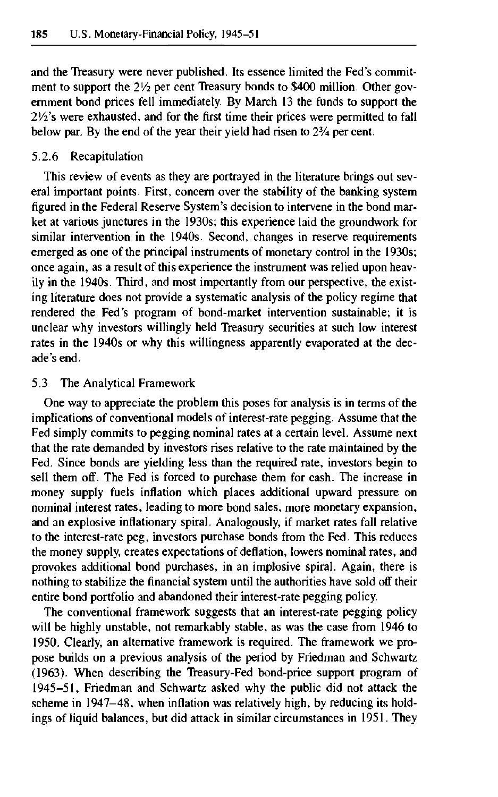and the Treasury were never published. Its essence limited the Fed's commitment to support the 21/2 per cent Treasury bonds to \$400 million. Other government bond prices fell immediately. By March 13 the funds to support the 2 1 /2's were exhausted, and for the first time their prices were permitted to fall below par. By the end of the year their yield had risen to *2<sup>3</sup>A* per cent.

#### 5.2.6 Recapitulation

This review of events as they are portrayed in the literature brings out several important points. First, concern over the stability of the banking system figured in the Federal Reserve System's decision to intervene in the bond market at various junctures in the 1930s; this experience laid the groundwork for similar intervention in the 1940s. Second, changes in reserve requirements emerged as one of the principal instruments of monetary control in the 1930s; once again, as a result of this experience the instrument was relied upon heavily in the 1940s. Third, and most importantly from our perspective, the existing literature does not provide a systematic analysis of the policy regime that rendered the Fed's program of bond-market intervention sustainable; it is unclear why investors willingly held Treasury securities at such low interest rates in the 1940s or why this willingness apparently evaporated at the decade's end.

#### 5.3 The Analytical Framework

One way to appreciate the problem this poses for analysis is in terms of the implications of conventional models of interest-rate pegging. Assume that the Fed simply commits to pegging nominal rates at a certain level. Assume next that the rate demanded by investors rises relative to the rate maintained by the Fed. Since bonds are yielding less than the required rate, investors begin to sell them off. The Fed is forced to purchase them for cash. The increase in money supply fuels inflation which places additional upward pressure on nominal interest rates, leading to more bond sales, more monetary expansion, and an explosive inflationary spiral. Analogously, if market rates fall relative to the interest-rate peg, investors purchase bonds from the Fed. This reduces the money supply, creates expectations of deflation, lowers nominal rates, and provokes additional bond purchases, in an implosive spiral. Again, there is nothing to stabilize the financial system until the authorities have sold off their entire bond portfolio and abandoned their interest-rate pegging policy.

The conventional framework suggests that an interest-rate pegging policy will be highly unstable, not remarkably stable, as was the case from 1946 to 1950. Clearly, an alternative framework is required. The framework we propose builds on a previous analysis of the period by Friedman and Schwartz (1963). When describing the Treasury-Fed bond-price support program of 1945-51, Friedman and Schwartz asked why the public did not attack the scheme in 1947-48, when inflation was relatively high, by reducing its holdings of liquid balances, but did attack in similar circumstances in 1951. They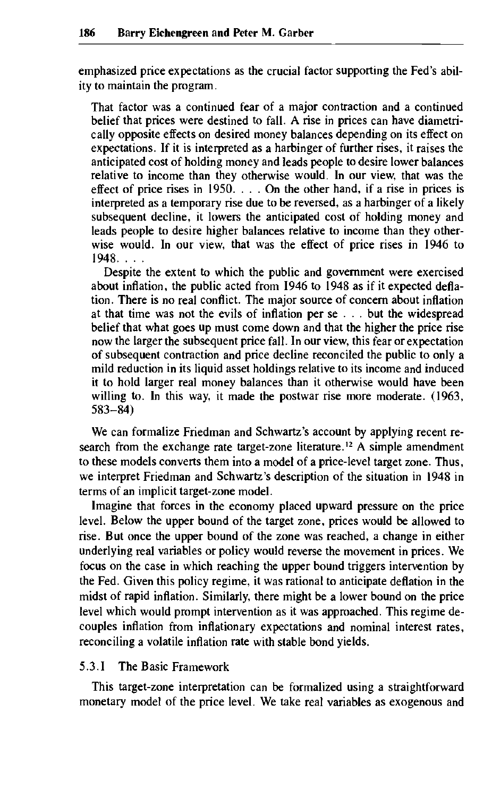emphasized price expectations as the crucial factor supporting the Fed's ability to maintain the program.

That factor was a continued fear of a major contraction and a continued belief that prices were destined to fall. A rise in prices can have diametrically opposite effects on desired money balances depending on its effect on expectations. If it is interpreted as a harbinger of further rises, it raises the anticipated cost of holding money and leads people to desire lower balances relative to income than they otherwise would. In our view, that was the effect of price rises in 1950. .. . On the other hand, if a rise in prices is interpreted as a temporary rise due to be reversed, as a harbinger of a likely subsequent decline, it lowers the anticipated cost of holding money and leads people to desire higher balances relative to income than they otherwise would. In our view, that was the effect of price rises in 1946 to 1948. . . .

Despite the extent to which the public and government were exercised about inflation, the public acted from 1946 to 1948 as if it expected deflation. There is no real conflict. The major source of concern about inflation at that time was not the evils of inflation per se . . . but the widespread belief that what goes up must come down and that the higher the price rise now the larger the subsequent price fall. In our view, this fear or expectation of subsequent contraction and price decline reconciled the public to only a mild reduction in its liquid asset holdings relative to its income and induced it to hold larger real money balances than it otherwise would have been willing to. In this way, it made the postwar rise more moderate. (1963, 583-84)

We can formalize Friedman and Schwartz's account by applying recent research from the exchange rate target-zone literature.<sup>12</sup> A simple amendment to these models converts them into a model of a price-level target zone. Thus, we interpret Friedman and Schwartz's description of the situation in 1948 in terms of an implicit target-zone model.

Imagine that forces in the economy placed upward pressure on the price level. Below the upper bound of the target zone, prices would be allowed to rise. But once the upper bound of the zone was reached, a change in either underlying real variables or policy would reverse the movement in prices. We focus on the case in which reaching the upper bound triggers intervention by the Fed. Given this policy regime, it was rational to anticipate deflation in the midst of rapid inflation. Similarly, there might be a lower bound on the price level which would prompt intervention as it was approached. This regime decouples inflation from inflationary expectations and nominal interest rates, reconciling a volatile inflation rate with stable bond yields.

#### 5.3.1 The Basic Framework

This target-zone interpretation can be formalized using a straightforward monetary model of the price level. We take real variables as exogenous and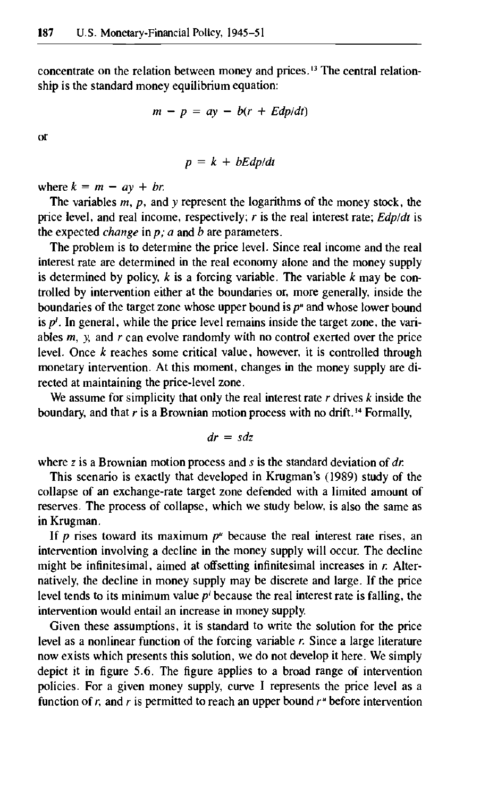concentrate on the relation between money and prices.<sup>13</sup> The central relationship is the standard money equilibrium equation:

$$
m - p = ay - b(r + Edp/dt)
$$

or

$$
p = k + bEdp/dt
$$

where  $k = m - ay + br$ .

The variables *m, p,* and *y* represent the logarithms of the money stock, the price level, and real income, respectively; *r* is the real interest rate; *Edpldt* is the expected *change inp; a* and *b* are parameters.

The problem is to determine the price level. Since real income and the real interest rate are determined in the real economy alone and the money supply is determined by policy,  $k$  is a forcing variable. The variable  $k$  may be controlled by intervention either at the boundaries or, more generally, inside the boundaries of the target zone whose upper bound is *p"* and whose lower bound is  $p<sup>i</sup>$ . In general, while the price level remains inside the target zone, the variables *m, y,* and *r* can evolve randomly with no control exerted over the price level. Once *k* reaches some critical value, however, it is controlled through monetary intervention. At this moment, changes in the money supply are directed at maintaining the price-level zone.

We assume for simplicity that only the real interest rate *r* drives *k* inside the boundary, and that r is a Brownian motion process with no drift.<sup>14</sup> Formally,

*dr* = *sdz*

where z is a Brownian motion process and s is the standard deviation of dr.

This scenario is exactly that developed in Krugman's (1989) study of the collapse of an exchange-rate target zone defended with a limited amount of reserves. The process of collapse, which we study below, is also the same as in Krugman.

If  $p$  rises toward its maximum  $p^u$  because the real interest rate rises, an intervention involving a decline in the money supply will occur. The decline might be infinitesimal, aimed at offsetting infinitesimal increases in *r.* Alternatively, the decline in money supply may be discrete and large. If the price level tends to its minimum value  $p<sup>i</sup>$  because the real interest rate is falling, the intervention would entail an increase in money supply.

Given these assumptions, it is standard to write the solution for the price level as a nonlinear function of the forcing variable *r.* Since a large literature now exists which presents this solution, we do not develop it here. We simply depict it in figure 5.6. The figure applies to a broad range of intervention policies. For a given money supply, curve 1 represents the price level as a function of *r,* and *r* is permitted to reach an upper bound r" before intervention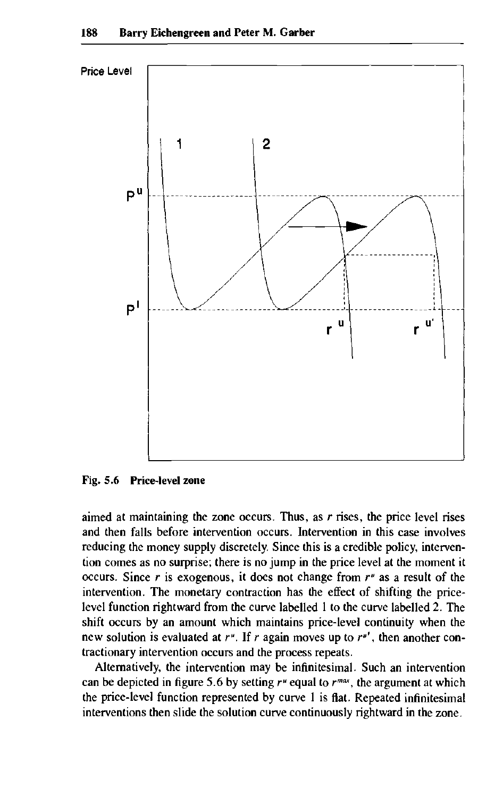

**Fig. 5.6 Price-level zone**

aimed at maintaining the zone occurs. Thus, as *r* rises, the price level rises and then falls before intervention occurs. Intervention in this case involves reducing the money supply discretely. Since this is a credible policy, intervention comes as no surprise; there is no jump in the price level at the moment it occurs. Since  $r$  is exogenous, it does not change from  $r^*$  as a result of the intervention. The monetary contraction has the effect of shifting the pricelevel function rightward from the curve labelled 1 to the curve labelled 2. The shift occurs by an amount which maintains price-level continuity when the new solution is evaluated at r". If *r* again moves up to *r"',* then another contractionary intervention occurs and the process repeats.

Alternatively, the intervention may be infinitesimal. Such an intervention can be depicted in figure 5.6 by setting *r"* equal to *r max ,* the argument at which the price-level function represented by curve 1 is flat. Repeated infinitesimal interventions then slide the solution curve continuously rightward in the zone.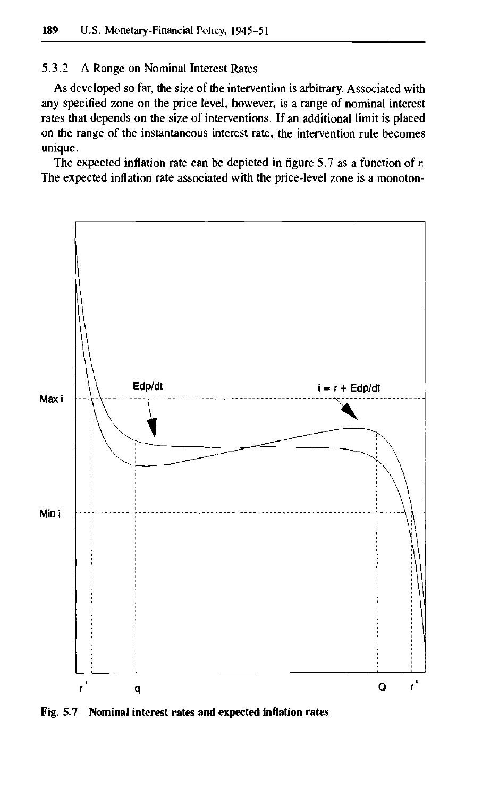#### 5.3.2 A Range on Nominal Interest Rates

As developed so far, the size of the intervention is arbitrary. Associated with any specified zone on the price level, however, is a range of nominal interest rates that depends on the size of interventions. If an additional limit is placed on the range of the instantaneous interest rate, the intervention rule becomes unique.

The expected inflation rate can be depicted in figure 5.7 as a function of *r.* The expected inflation rate associated with the price-level zone is a monoton-



Fig. 5.7 Nominal interest rates and expected inflation rates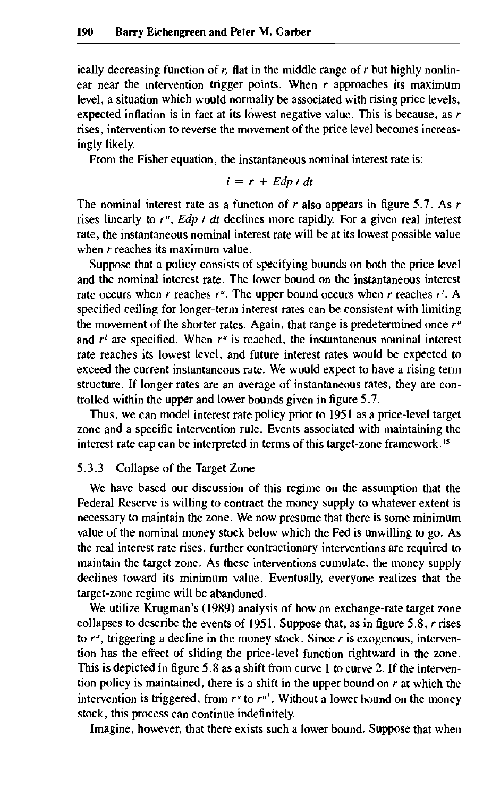ically decreasing function of *r,* flat in the middle range of *r* but highly nonlinear near the intervention trigger points. When *r* approaches its maximum level, a situation which would normally be associated with rising price levels, expected inflation is in fact at its lowest negative value. This is because, as *r* rises, intervention to reverse the movement of the price level becomes increasingly likely.

From the Fisher equation, the instantaneous nominal interest rate is:

$$
i = r + \mathit{Edp}/\mathit{dt}
$$

The nominal interest rate as a function of *r* also appears in figure 5.7. As *r* rises linearly to *r", Edp I dt* declines more rapidly. For a given real interest rate, the instantaneous nominal interest rate will be at its lowest possible value when *r* reaches its maximum value.

Suppose that a policy consists of specifying bounds on both the price level and the nominal interest rate. The lower bound on the instantaneous interest rate occurs when *r* reaches r". The upper bound occurs when *r* reaches *r'.* A specified ceiling for longer-term interest rates can be consistent with limiting the movement of the shorter rates. Again, that range is predetermined once *r u* and *r'* are specified. When *r"* is reached, the instantaneous nominal interest rate reaches its lowest level, and future interest rates would be expected to exceed the current instantaneous rate. We would expect to have a rising term structure. If longer rates are an average of instantaneous rates, they are controlled within the upper and lower bounds given in figure 5.7.

Thus, we can model interest rate policy prior to 1951 as a price-level target zone and a specific intervention rule. Events associated with maintaining the interest rate cap can be interpreted in terms of this target-zone framework.<sup>15</sup>

#### 5.3.3 Collapse of the Target Zone

We have based our discussion of this regime on the assumption that the Federal Reserve is willing to contract the money supply to whatever extent is necessary to maintain the zone. We now presume that there is some minimum value of the nominal money stock below which the Fed is unwilling to go. As the real interest rate rises, further contractionary interventions are required to maintain the target zone. As these interventions cumulate, the money supply declines toward its minimum value. Eventually, everyone realizes that the target-zone regime will be abandoned.

We utilize Krugman's (1989) analysis of how an exchange-rate target zone collapses to describe the events of 1951. Suppose that, as in figure 5.8, *r* rises to *r",* triggering a decline in the money stock. Since *r* is exogenous, intervention has the effect of sliding the price-level function rightward in the zone. This is depicted in figure 5.8 as a shift from curve 1 to curve 2. If the intervention policy is maintained, there is a shift in the upper bound on *r* at which the intervention is triggered, from  $r^u$  to  $r^{u'}$ . Without a lower bound on the money stock, this process can continue indefinitely.

Imagine, however, that there exists such a lower bound. Suppose that when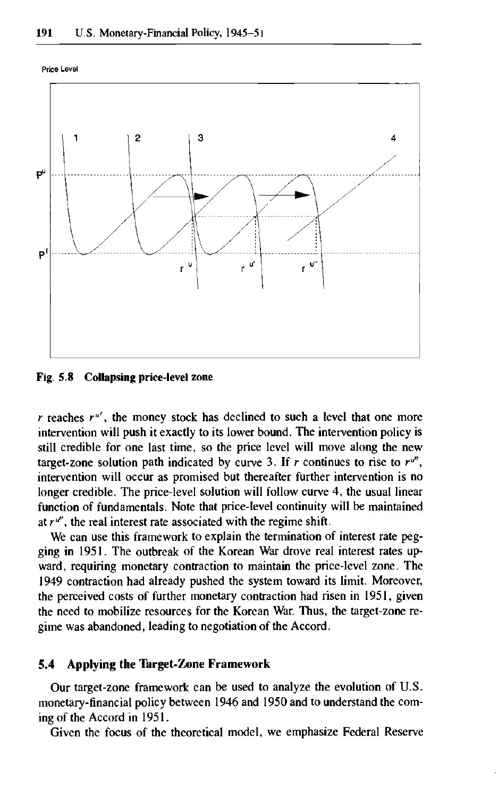

**Fig. 5.8 Collapsing price-level zone**

 $r$  reaches  $r''$ , the money stock has declined to such a level that one more intervention will push it exactly to its lower bound. The intervention policy is still credible for one last time, so the price level will move along the new target-zone solution path indicated by curve 3. If  $r$  continues to rise to  $r^{u}$ , intervention will occur as promised but thereafter further intervention is no longer credible. The price-level solution will follow curve 4, the usual linear function of fundamentals. Note that price-level continuity will be maintained at  $r^{\mu\nu}$ , the real interest rate associated with the regime shift.

We can use this framework to explain the termination of interest rate pegging in 1951. The outbreak of the Korean War drove real interest rates upward, requiring monetary contraction to maintain the price-level zone. The 1949 contraction had already pushed the system toward its limit. Moreover, the perceived costs of further monetary contraction had risen in 1951, given the need to mobilize resources for the Korean War. Thus, the target-zone regime was abandoned, leading to negotiation of the Accord.

#### **5.4 Applying the Target-Zone Framework**

Our target-zone framework can be used to analyze the evolution of U.S. monetary-financial policy between 1946 and 1950 and to understand the coming of the Accord in 1951.

Given the focus of the theoretical model, we emphasize Federal Reserve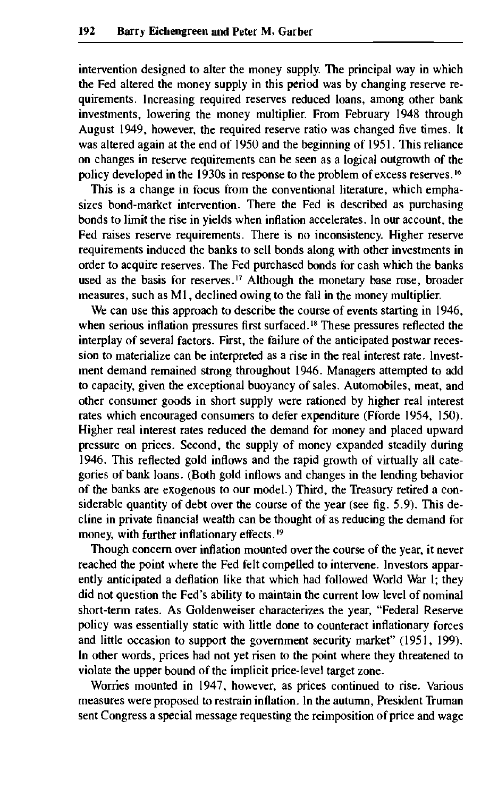intervention designed to alter the money supply. The principal way in which the Fed altered the money supply in this period was by changing reserve requirements. Increasing required reserves reduced loans, among other bank investments, lowering the money multiplier. From February 1948 through August 1949, however, the required reserve ratio was changed five times. It was altered again at the end of 1950 and the beginning of 1951. This reliance on changes in reserve requirements can be seen as a logical outgrowth of the policy developed in the 1930s in response to the problem of excess reserves.<sup>16</sup>

This is a change in focus from the conventional literature, which emphasizes bond-market intervention. There the Fed is described as purchasing bonds to limit the rise in yields when inflation accelerates. In our account, the Fed raises reserve requirements. There is no inconsistency. Higher reserve requirements induced the banks to sell bonds along with other investments in order to acquire reserves. The Fed purchased bonds for cash which the banks used as the basis for reserves.<sup>17</sup> Although the monetary base rose, broader measures, such as Ml, declined owing to the fall in the money multiplier.

We can use this approach to describe the course of events starting in 1946, when serious inflation pressures first surfaced.<sup>18</sup> These pressures reflected the interplay of several factors. First, the failure of the anticipated postwar recession to materialize can be interpreted as a rise in the real interest rate. Investment demand remained strong throughout 1946. Managers attempted to add to capacity, given the exceptional buoyancy of sales. Automobiles, meat, and other consumer goods in short supply were rationed by higher real interest rates which encouraged consumers to defer expenditure (Fforde 1954, 150). Higher real interest rates reduced the demand for money and placed upward pressure on prices. Second, the supply of money expanded steadily during 1946. This reflected gold inflows and the rapid growth of virtually all categories of bank loans. (Both gold inflows and changes in the lending behavior of the banks are exogenous to our model.) Third, the Treasury retired a considerable quantity of debt over the course of the year (see fig. 5.9). This decline in private financial wealth can be thought of as reducing the demand for money, with further inflationary effects.<sup>19</sup>

Though concern over inflation mounted over the course of the year, it never reached the point where the Fed felt compelled to intervene. Investors apparently anticipated a deflation like that which had followed World War I; they did not question the Fed's ability to maintain the current low level of nominal short-term rates. As Goldenweiser characterizes the year, "Federal Reserve policy was essentially static with little done to counteract inflationary forces and little occasion to support the government security market" (1951, 199). In other words, prices had not yet risen to the point where they threatened to violate the upper bound of the implicit price-level target zone.

Worries mounted in 1947, however, as prices continued to rise. Various measures were proposed to restrain inflation. In the autumn, President Truman sent Congress a special message requesting the reimposition of price and wage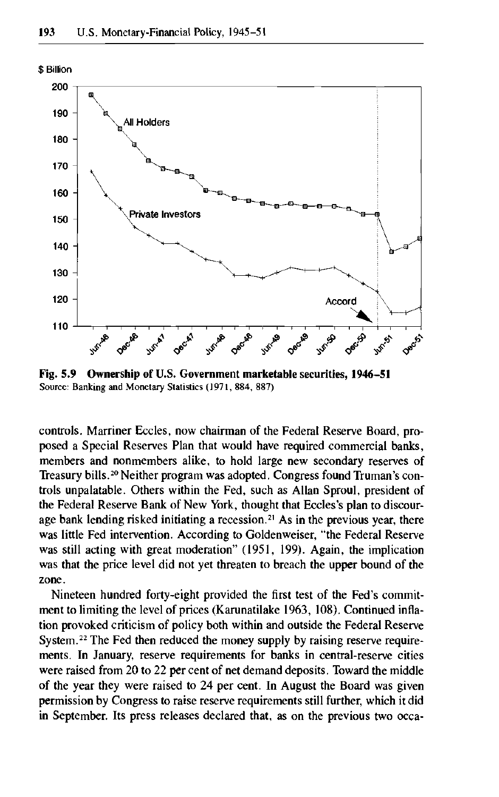



**Fig. 5.9 Ownership of U.S. Government marketable securities, 1946** Source: Banking and Monetary Statistics (1971, 884, 887)

controls. Marriner Eccles, now chairman of the Federal Reserve Board, proposed a Special Reserves Plan that would have required commercial banks, members and nonmembers alike, to hold large new secondary reserves of Treasury bills.<sup>20</sup> Neither program was adopted. Congress found Truman's controls unpalatable. Others within the Fed, such as Allan Sproul, president of the Federal Reserve Bank of New York, thought that Eccles's plan to discourage bank lending risked initiating a recession.<sup>21</sup> As in the previous year, there was little Fed intervention. According to Goldenweiser, "the Federal Reserve was still acting with great moderation" (1951, 199). Again, the implication was that the price level did not yet threaten to breach the upper bound of the zone.

Nineteen hundred forty-eight provided the first test of the Fed's commitment to limiting the level of prices (Karunatilake 1963, 108). Continued inflation provoked criticism of policy both within and outside the Federal Reserve System.<sup>22</sup> The Fed then reduced the money supply by raising reserve requirements. In January, reserve requirements for banks in central-reserve cities were raised from 20 to 22 per cent of net demand deposits. Toward the middle of the year they were raised to 24 per cent. In August the Board was given permission by Congress to raise reserve requirements still further, which it did in September. Its press releases declared that, as on the previous two occa-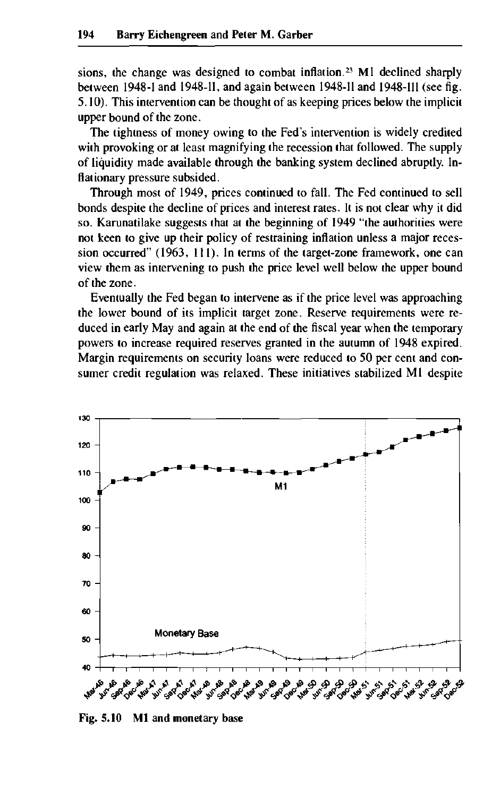sions, the change was designed to combat inflation.<sup>23</sup> M1 declined sharply between 1948-1 and 1948-11, and again between 1948-11 and 1948-III (see fig. 5.10). This intervention can be thought of as keeping prices below the implicit upper bound of the zone.

The tightness of money owing to the Fed's intervention is widely credited with provoking or at least magnifying the recession that followed. The supply of liquidity made available through the banking system declined abruptly. Inflationary pressure subsided.

Through most of 1949, prices continued to fall. The Fed continued to sell bonds despite the decline of prices and interest rates. It is not clear why it did so. Karunatilake suggests that at the beginning of 1949 "the authorities were not keen to give up their policy of restraining inflation unless a major recession occurred" (1963, 111). In terms of the target-zone framework, one can view them as intervening to push the price level well below the upper bound of the zone.

Eventually the Fed began to intervene as if the price level was approaching the lower bound of its implicit target zone. Reserve requirements were reduced in early May and again at the end of the fiscal year when the temporary powers to increase required reserves granted in the autumn of 1948 expired. Margin requirements on security loans were reduced to 50 per cent and consumer credit regulation was relaxed. These initiatives stabilized Ml despite



**Fig. 5.10 Ml and monetary base**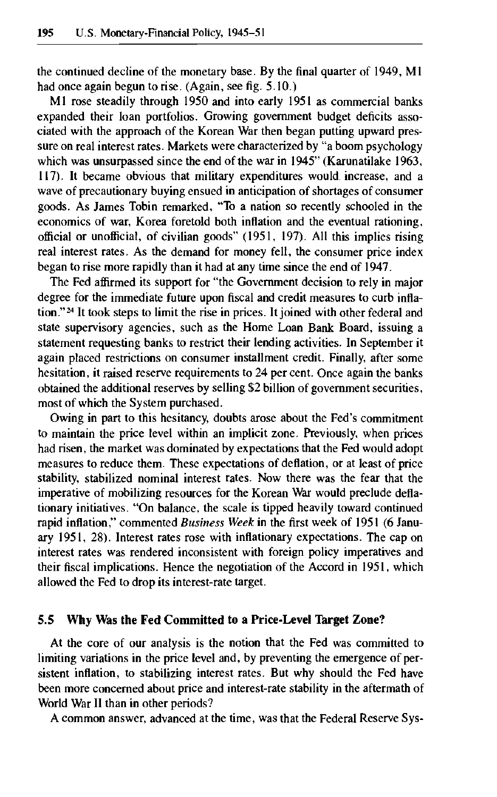the continued decline of the monetary base. By the final quarter of 1949, Ml had once again begun to rise. (Again, see fig. 5.10.)

Ml rose steadily through 1950 and into early 1951 as commercial banks expanded their loan portfolios. Growing government budget deficits associated with the approach of the Korean War then began putting upward pressure on real interest rates. Markets were characterized by "a boom psychology which was unsurpassed since the end of the war in 1945" (Karunatilake 1963, 117). It became obvious that military expenditures would increase, and a wave of precautionary buying ensued in anticipation of shortages of consumer goods. As James Tobin remarked, "To a nation so recently schooled in the economics of war, Korea foretold both inflation and the eventual rationing, official or unofficial, of civilian goods" (1951, 197). All this implies rising real interest rates. As the demand for money fell, the consumer price index began to rise more rapidly than it had at any time since the end of 1947.

The Fed affirmed its support for "the Government decision to rely in major degree for the immediate future upon fiscal and credit measures to curb inflation."<sup>24</sup> It took steps to limit the rise in prices. It joined with other federal and state supervisory agencies, such as the Home Loan Bank Board, issuing a statement requesting banks to restrict their lending activities. In September it again placed restrictions on consumer installment credit. Finally, after some hesitation, it raised reserve requirements to 24 per cent. Once again the banks obtained the additional reserves by selling \$2 billion of government securities, most of which the System purchased.

Owing in part to this hesitancy, doubts arose about the Fed's commitment to maintain the price level within an implicit zone. Previously, when prices had risen, the market was dominated by expectations that the Fed would adopt measures to reduce them. These expectations of deflation, or at least of price stability, stabilized nominal interest rates. Now there was the fear that the imperative of mobilizing resources for the Korean War would preclude deflationary initiatives. "On balance, the scale is tipped heavily toward continued rapid inflation," commented *Business Week* in the first week of 1951 (6 January 1951, 28). Interest rates rose with inflationary expectations. The cap on interest rates was rendered inconsistent with foreign policy imperatives and their fiscal implications. Hence the negotiation of the Accord in 1951, which allowed the Fed to drop its interest-rate target.

#### **5.5 Why Was the Fed Committed to a Price-Level Target Zone?**

At the core of our analysis is the notion that the Fed was committed to limiting variations in the price level and, by preventing the emergence of persistent inflation, to stabilizing interest rates. But why should the Fed have been more concerned about price and interest-rate stability in the aftermath of World War II than in other periods?

A common answer, advanced at the time, was that the Federal Reserve Sys-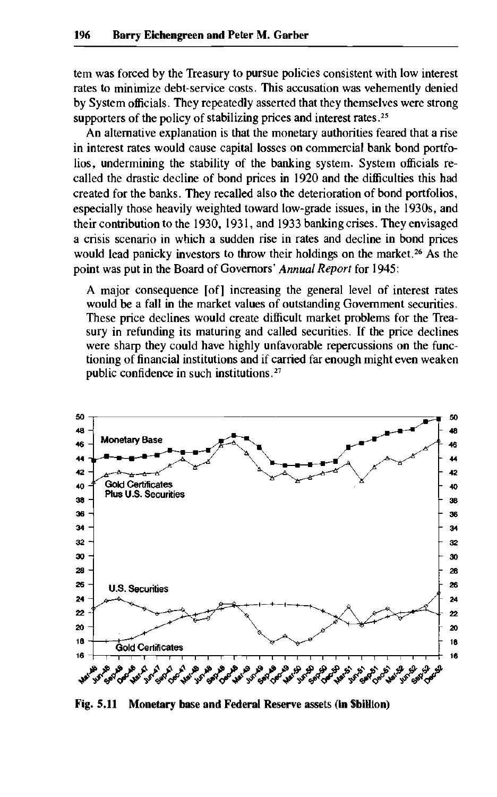tern was forced by the Treasury to pursue policies consistent with low interest rates to minimize debt-service costs. This accusation was vehemently denied by System officials. They repeatedly asserted that they themselves were strong supporters of the policy of stabilizing prices and interest rates.<sup>25</sup>

An alternative explanation is that the monetary authorities feared that a rise in interest rates would cause capital losses on commercial bank bond portfolios, undermining the stability of the banking system. System officials recalled the drastic decline of bond prices in 1920 and the difficulties this had created for the banks. They recalled also the deterioration of bond portfolios, especially those heavily weighted toward low-grade issues, in the 1930s, and their contribution to the 1930, 1931, and 1933 banking crises. They envisaged a crisis scenario in which a sudden rise in rates and decline in bond prices would lead panicky investors to throw their holdings on the market.<sup>26</sup> As the point was put in the Board of Governors' *Annual Report* for 1945:

A major consequence [of] increasing the general level of interest rates would be a fall in the market values of outstanding Government securities. These price declines would create difficult market problems for the Treasury in refunding its maturing and called securities. If the price declines were sharp they could have highly unfavorable repercussions on the functioning of financial institutions and if carried far enough might even weaken public confidence in such institutions.<sup>27</sup>



Fig. **5.11** Monetary base **and** Federal Reserve assets **(in \$billion)**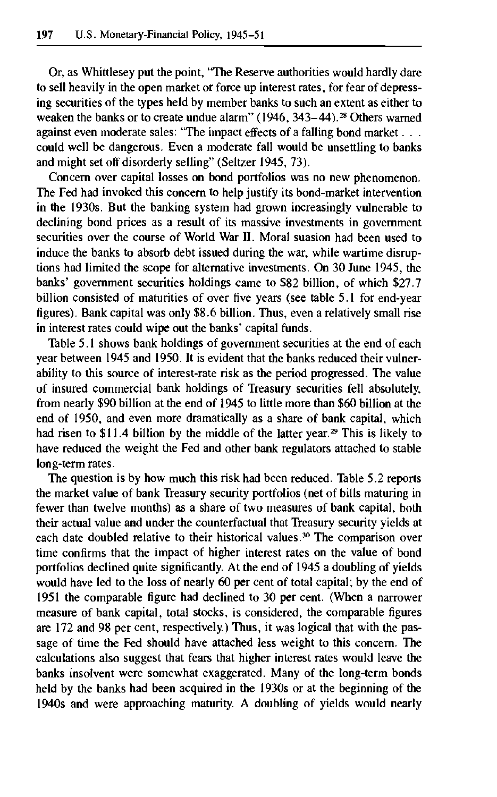Or, as Whittlesey put the point, "The Reserve authorities would hardly dare to sell heavily in the open market or force up interest rates, for fear of depressing securities of the types held by member banks to such an extent as either to weaken the banks or to create undue alarm" (1946, 343–44).<sup>28</sup> Others warned against even moderate sales: "The impact effects of a falling bond market. . . could well be dangerous. Even a moderate fall would be unsettling to banks and might set off disorderly selling" (Seltzer 1945, 73).

Concern over capital losses on bond portfolios was no new phenomenon. The Fed had invoked this concern to help justify its bond-market intervention in the 1930s. But the banking system had grown increasingly vulnerable to declining bond prices as a result of its massive investments in government securities over the course of World War II. Moral suasion had been used to induce the banks to absorb debt issued during the war, while wartime disruptions had limited the scope for alternative investments. On 30 June 1945, the banks' government securities holdings came to \$82 billion, of which \$27.7 billion consisted of maturities of over five years (see table 5.1 for end-year figures). Bank capital was only \$8.6 billion. Thus, even a relatively small rise in interest rates could wipe out the banks' capital funds.

Table 5.1 shows bank holdings of government securities at the end of each year between 1945 and 1950. It is evident that the banks reduced their vulnerability to this source of interest-rate risk as the period progressed. The value of insured commercial bank holdings of Treasury securities fell absolutely, from nearly \$90 billion at the end of 1945 to little more than \$60 billion at the end of 1950, and even more dramatically as a share of bank capital, which had risen to \$11.4 billion by the middle of the latter year.<sup>29</sup> This is likely to have reduced the weight the Fed and other bank regulators attached to stable long-term rates.

The question is by how much this risk had been reduced. Table 5.2 reports the market value of bank Treasury security portfolios (net of bills maturing in fewer than twelve months) as a share of two measures of bank capital, both their actual value and under the counterfactual that Treasury security yields at each date doubled relative to their historical values.<sup>30</sup> The comparison over time confirms that the impact of higher interest rates on the value of bond portfolios declined quite significantly. At the end of 1945 a doubling of yields would have led to the loss of nearly 60 per cent of total capital; by the end of 1951 the comparable figure had declined to 30 per cent. (When a narrower measure of bank capital, total stocks, is considered, the comparable figures are 172 and 98 per cent, respectively.) Thus, it was logical that with the passage of time the Fed should have attached less weight to this concern. The calculations also suggest that fears that higher interest rates would leave the banks insolvent were somewhat exaggerated. Many of the long-term bonds held by the banks had been acquired in the 1930s or at the beginning of the 1940s and were approaching maturity. A doubling of yields would nearly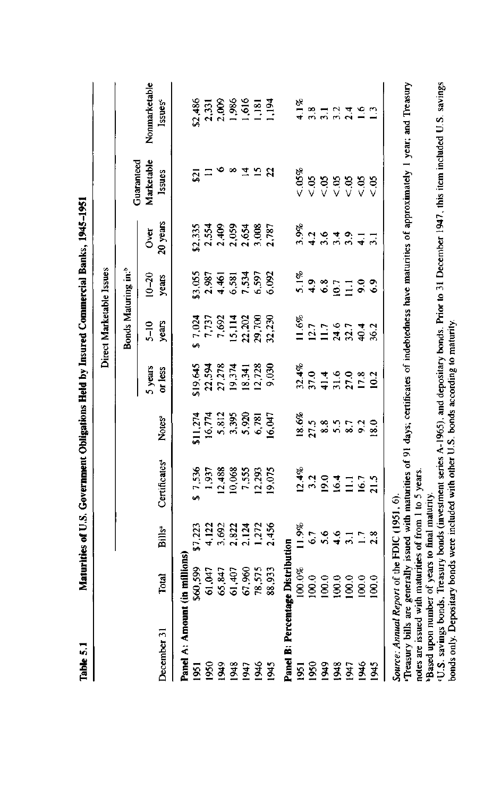| Table 5.1                                                                               |                   |                          | Maturities of U.S. Government Obligations Held by Insured Commercial Banks, 1945-1951 |                    |                             |                                 |                                                                                         |                                |                          |                                                                                                                                                    |
|-----------------------------------------------------------------------------------------|-------------------|--------------------------|---------------------------------------------------------------------------------------|--------------------|-----------------------------|---------------------------------|-----------------------------------------------------------------------------------------|--------------------------------|--------------------------|----------------------------------------------------------------------------------------------------------------------------------------------------|
|                                                                                         |                   |                          |                                                                                       |                    |                             | Direct Marketable Issues        |                                                                                         |                                |                          |                                                                                                                                                    |
|                                                                                         |                   |                          |                                                                                       |                    |                             | Bonds Maturing in. <sup>b</sup> |                                                                                         |                                |                          |                                                                                                                                                    |
|                                                                                         |                   |                          |                                                                                       |                    | 5 years                     | $5 - 10$                        | $0 - 20$                                                                                | Over                           | Marketable<br>Guaranteed | Nonmarketable                                                                                                                                      |
| December 31                                                                             | <b>Total</b>      | <b>Bills<sup>2</sup></b> | Certificates <sup>-</sup>                                                             | Notes <sup>a</sup> | or less                     | years                           | years                                                                                   | 20 years                       | Issues                   | <b>Issues</b>                                                                                                                                      |
| Panel A: Amount (in millions)                                                           |                   |                          |                                                                                       |                    |                             |                                 |                                                                                         |                                |                          |                                                                                                                                                    |
| $\overline{5}$                                                                          | \$60,599          | \$7,223                  | \$7,536                                                                               | \$11,274           |                             | \$7,024                         | 13,055                                                                                  | 12,335                         | $\overline{21}$          | 52,486                                                                                                                                             |
| 1950                                                                                    | 61,047            | 4,122                    | 1,937                                                                                 | 16,774             | \$19,645<br>22,594          | 7,737                           | 2.987                                                                                   | 2.554                          | 드                        |                                                                                                                                                    |
| 1949                                                                                    | 65,847            | 3,692                    | 12,488                                                                                |                    |                             | 7,692                           | 4,461                                                                                   |                                | ۰                        |                                                                                                                                                    |
| 1948                                                                                    | 61,407            | 2,822                    | 10,068                                                                                | 5,812<br>3,395     | 27,278<br>19,374            | 15,114                          | 6,581                                                                                   | $88.888$<br>$2.888$<br>$2.888$ | $\infty$                 | 2,331<br>2,009<br>1,616<br>1,181                                                                                                                   |
| 1947                                                                                    | 67,960            |                          | 7,555                                                                                 | 5,920              |                             |                                 |                                                                                         |                                | 혼                        |                                                                                                                                                    |
| 1946                                                                                    | 78,575            | 2,124<br>1,272           | 12,293                                                                                | 6,781              | 18,341<br>12,728<br>9,030   | 22, 202<br>29, 203<br>29, 230   | 7,534<br>6,597                                                                          |                                | $\mathbf{r}$             |                                                                                                                                                    |
| 1945                                                                                    | 88,933            | 2,456                    | 19,075                                                                                | 16,047             |                             |                                 | 6,092                                                                                   | 2.787                          | $\tilde{\mathcal{L}}$    | 1.194                                                                                                                                              |
| Panel B: Percentage Distribution                                                        |                   |                          |                                                                                       |                    |                             |                                 |                                                                                         |                                |                          |                                                                                                                                                    |
| 1951                                                                                    | 100.0%            | 11.9%                    | 12.4%                                                                                 | 18.6%              | 32.4%                       | 11.6%                           |                                                                                         | 3.9%                           | 0.96                     | 4.1%                                                                                                                                               |
| 1950                                                                                    | 100.0             |                          | 3.2                                                                                   | 27.5               | 37.0                        |                                 |                                                                                         |                                | $\frac{3}{20}$           | 3.1                                                                                                                                                |
| 949                                                                                     | 100.0             |                          | 9.0                                                                                   | $\frac{8}{6}$      |                             |                                 |                                                                                         |                                |                          |                                                                                                                                                    |
| 1948                                                                                    | 100.0             |                          | 16.4                                                                                  | 5.5                |                             |                                 |                                                                                         |                                |                          |                                                                                                                                                    |
| 1947                                                                                    | $\overline{0.00}$ | $5.661728$<br>$6.47128$  | $\Xi$                                                                                 | $\overline{8}$ .   | $\frac{41.4}{31.6}$<br>27.0 | $21.56742$<br>$21.78742$        | $598$<br>$-385$<br>$-1$<br>$-1$<br>$-1$<br>$-1$<br>$-1$<br>$-1$<br>$-1$<br>$-1$<br>$-1$ | $45949 - 1$                    | $8888$<br>$\sqrt{88}$    | $3.497$<br>$-1$                                                                                                                                    |
| 1946                                                                                    | 100.0             |                          | $16.7$<br>21.5                                                                        | 9.2                |                             |                                 | $\begin{array}{c} 0.9 \\ 6.9 \end{array}$                                               |                                |                          |                                                                                                                                                    |
| 345                                                                                     | 0.00              |                          |                                                                                       | 18.0               | 10.2                        |                                 |                                                                                         |                                | $\frac{5}{2}$            |                                                                                                                                                    |
| Source: Annual Report of the FDIC (1951, 6)                                             |                   |                          |                                                                                       |                    |                             |                                 |                                                                                         |                                |                          |                                                                                                                                                    |
| notes are issued with maturities of from 1 to 5 years                                   |                   |                          |                                                                                       |                    |                             |                                 |                                                                                         |                                |                          | Treasury bills are generally issued with maturities of 91 days; certificates of indebtedness have maturities of approximately 1 year; and Treasury |
| Based upon number of years to final maturity                                            |                   |                          |                                                                                       |                    |                             |                                 |                                                                                         |                                |                          |                                                                                                                                                    |
|                                                                                         |                   |                          |                                                                                       |                    |                             |                                 |                                                                                         |                                |                          | U.S. savings bonds. Treasury bonds (investment series A-1965), and depositary bonds. Prior to 31 December 1947, this item included U.S. savings    |
| bonds only. Depositary bonds were included with other U.S. bonds according to maturity. |                   |                          |                                                                                       |                    |                             |                                 |                                                                                         |                                |                          |                                                                                                                                                    |

atur<br>ا**a** -a o series A<br>other U. **O G & E**  $\frac{3}{2}$  **e**  $\frac{3}{2}$ d Rep<br>
<sup>13</sup> are <sup>g</sup><br>
<sup>11</sup><br>
11 who is<br>
11<br>
11 poposition<br>
12 poposition  $\begin{array}{c} \mathcal{A} \ \mathcal{B} \ \mathcal{B} \ \mathcal{B} \ \mathcal{C} \end{array}$ **j U U P 2**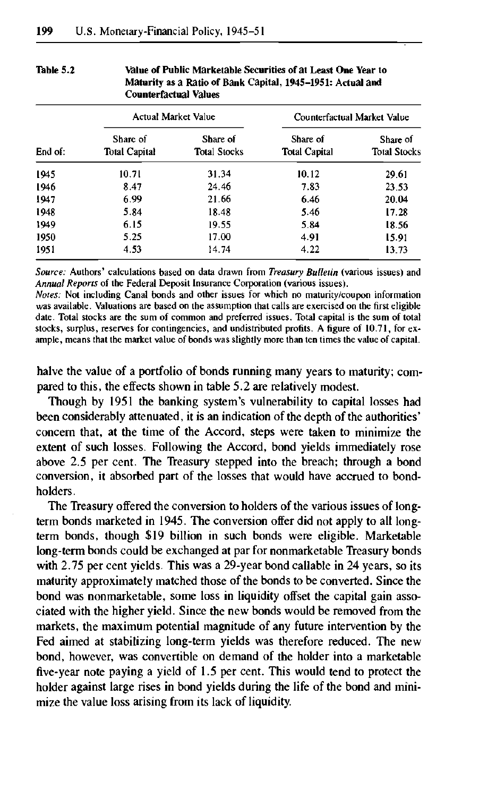| End of: | Actual Market Value              |                                 | Counterfactual Market Value      |                                 |
|---------|----------------------------------|---------------------------------|----------------------------------|---------------------------------|
|         | Share of<br><b>Total Capital</b> | Share of<br><b>Total Stocks</b> | Share of<br><b>Total Capital</b> | Share of<br><b>Total Stocks</b> |
| 1945    | 10.71                            | 31.34                           | 10.12                            | 29.61                           |
| 1946    | 8.47                             | 24.46                           | 7.83                             | 23.53                           |
| 1947    | 6.99                             | 21.66                           | 6.46                             | 20.04                           |
| 1948    | 5.84                             | 18.48                           | 5.46                             | 17.28                           |
| 1949    | 6.15                             | 19.55                           | 5.84                             | 18.56                           |
| 1950    | 5.25                             | 17.00                           | 4.91                             | 15.91                           |
| 1951    | 4.53                             | 14.74                           | 4.22                             | 13.73                           |

#### **Table 5.2 Value of Public Marketable Securities of at Least One Year to Maturity as a Ratio of Bank Capital** , **1945-1951: Actual and Counterfactual Values**

*Source:* Authors' calculations based on data drawn from *Treasury Bulletin* (various issues) and *Annual Reports* of the Federal Deposit Insurance Corporation (various issues).

*Notes:* Not including Canal bonds and other issues for which no maturity/coupon information was available. Valuations are based on the assumption that calls are exercised on the first eligible date. Total stocks are the sum of common and preferred issues. Total capital is the sum of total stocks, surplus, reserves for contingencies, and undistributed profits. A figure of 10.71, for example, means that the market value of bonds was slightly more than ten times the value of capital.

halve the value of a portfolio of bonds running many years to maturity; compared to this, the effects shown in table 5.2 are relatively modest.

Though by 1951 the banking system's vulnerability to capital losses had been considerably attenuated, it is an indication of the depth of the authorities' concern that, at the time of the Accord, steps were taken to minimize the extent of such losses. Following the Accord, bond yields immediately rose above 2.5 per cent. The Treasury stepped into the breach; through a bond conversion, it absorbed part of the losses that would have accrued to bondholders.

The Treasury offered the conversion to holders of the various issues of longterm bonds marketed in 1945. The conversion offer did not apply to all longterm bonds, though \$19 billion in such bonds were eligible. Marketable long-term bonds could be exchanged at par for nonmarketable Treasury bonds with 2.75 per cent yields. This was a 29-year bond callable in 24 years, so its maturity approximately matched those of the bonds to be converted. Since the bond was nonmarketable, some loss in liquidity offset the capital gain associated with the higher yield. Since the new bonds would be removed from the markets, the maximum potential magnitude of any future intervention by the Fed aimed at stabilizing long-term yields was therefore reduced. The new bond, however, was convertible on demand of the holder into a marketable five-year note paying a yield of 1.5 per cent. This would tend to protect the holder against large rises in bond yields during the life of the bond and minimize the value loss arising from its lack of liquidity.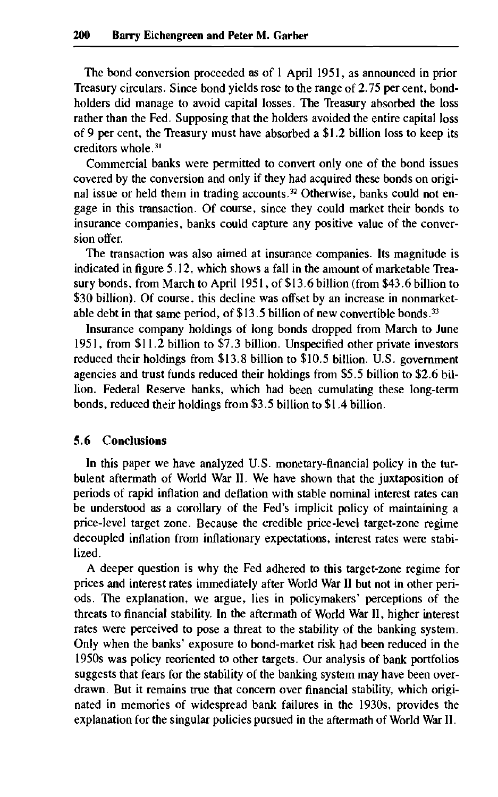The bond conversion proceeded as of 1 April 1951, as announced in prior Treasury circulars. Since bond yields rose to the range of 2.75 per cent, bondholders did manage to avoid capital losses. The Treasury absorbed the loss rather than the Fed. Supposing that the holders avoided the entire capital loss of 9 per cent, the Treasury must have absorbed a \$1.2 billion loss to keep its creditors whole.<sup>31</sup>

Commercial banks were permitted to convert only one of the bond issues covered by the conversion and only if they had acquired these bonds on original issue or held them in trading accounts.<sup>32</sup> Otherwise, banks could not engage in this transaction. Of course, since they could market their bonds to insurance companies, banks could capture any positive value of the conversion offer.

The transaction was also aimed at insurance companies. Its magnitude is indicated in figure 5.12, which shows a fall in the amount of marketable Treasury bonds, from March to April 1951, of \$13.6 billion (from \$43.6 billion to \$30 billion). Of course, this decline was offset by an increase in nonmarketable debt in that same period, of \$13.5 billion of new convertible bonds.<sup>33</sup>

Insurance company holdings of long bonds dropped from March to June 1951, from \$11.2 billion to \$7.3 billion. Unspecified other private investors reduced their holdings from \$13.8 billion to  $$10.5$  billion. U.S. government agencies and trust funds reduced their holdings from \$5.5 billion to \$2.6 billion. Federal Reserve banks, which had been cumulating these long-term bonds, reduced their holdings from \$3.5 billion to \$1.4 billion.

#### **5.6 Conclusions**

In this paper we have analyzed U.S. monetary-financial policy in the turbulent aftermath of World War II. We have shown that the juxtaposition of periods of rapid inflation and deflation with stable nominal interest rates can be understood as a corollary of the Fed's implicit policy of maintaining a price-level target zone. Because the credible price-level target-zone regime decoupled inflation from inflationary expectations, interest rates were stabilized.

A deeper question is why the Fed adhered to this target-zone regime for prices and interest rates immediately after World War II but not in other periods. The explanation, we argue, lies in policymakers' perceptions of the threats to financial stability. In the aftermath of World War II, higher interest rates were perceived to pose a threat to the stability of the banking system. Only when the banks' exposure to bond-market risk had been reduced in the 1950s was policy reoriented to other targets. Our analysis of bank portfolios suggests that fears for the stability of the banking system may have been overdrawn. But it remains true that concern over financial stability, which originated in memories of widespread bank failures in the 1930s, provides the explanation for the singular policies pursued in the aftermath of World War II.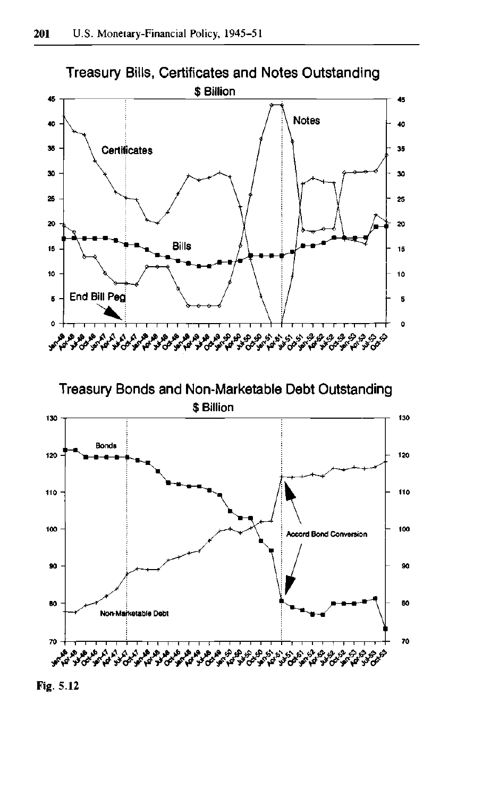

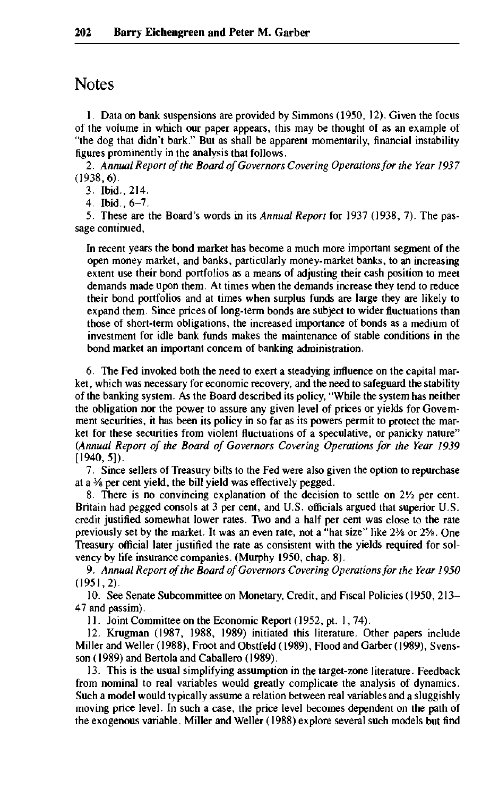## **Notes**

1. Data on bank suspensions are provided by Simmons (1950, 12). Given the focus of the volume in which our paper appears, this may be thought of as an example of "the dog that didn't bark." But as shall be apparent momentarily, financial instability figures prominently in the analysis that follows.

2. *Annual Report of the Board of Governors Covering Operations for the Year 1937*  $(1938, 6).$ 

3. Ibid., 214.

4. Ibid., 6-7.

5. These are the Board's words in its *Annual Report* for 1937 (1938, 7). The passage continued,

In recent years the bond market has become a much more important segment of the open money market, and banks, particularly money-market banks, to an increasing extent use their bond portfolios as a means of adjusting their cash position to meet demands made upon them. At times when the demands increase they tend to reduce their bond portfolios and at times when surplus funds are large they are likely to expand them. Since prices of long-term bonds are subject to wider fluctuations than those of short-term obligations, the increased importance of bonds as a medium of investment for idle bank funds makes the maintenance of stable conditions in the bond market an important concern of banking administration.

6. The Fed invoked both the need to exert a steadying influence on the capital market, which was necessary for economic recovery, and the need to safeguard the stability of the banking system. As the Board described its policy, "While the system has neither the obligation nor the power to assure any given level of prices or yields for Government securities, it has been its policy in so far as its powers permit to protect the market for these securities from violent fluctuations of a speculative, or panicky nature" *(Annual Report of the Board of Governors Covering Operations for the Year 1939*  $[1940, 5]$ .

7. Since sellers of Treasury bills to the Fed were also given the option to repurchase at a*<sup>3</sup>/s* per cent yield, the bill yield was effectively pegged.

8. There is no convincing explanation of the decision to settle on  $2\frac{1}{2}$  per cent. Britain had pegged consols at 3 per cent, and U.S. officials argued that superior U.S. credit justified somewhat lower rates. Two and a half per cent was close to the rate previously set by the market. It was an even rate, not a "hat size" like *2Vs* or *2V».* One Treasury official later justified the rate as consistent with the yields required for solvency by life insurance companies. (Murphy 1950, chap. 8).

9. *Annual Report of the Board of Governors Covering Operations for the Year 1950* (1951,2).

10. See Senate Subcommittee on Monetary, Credit, and Fiscal Policies (1950, 213- 47 and passim).

11. Joint Committee on the Economic Report (1952, pt. 1, 74).

12. Krugman (1987, 1988, 1989) initiated this literature. Other papers include Miller and Weller (1988), Froot and Obstfeld (1989), Flood and Garber (1989), Svensson (1989) and Bertola and Caballero (1989).

13. This is the usual simplifying assumption in the target-zone literature. Feedback from nominal to real variables would greatly complicate the analysis of dynamics. Such a model would typically assume a relation between real variables and a sluggishly moving price level. In such a case, the price level becomes dependent on the path of the exogenous variable. Miller and Weller (1988) explore several such models but find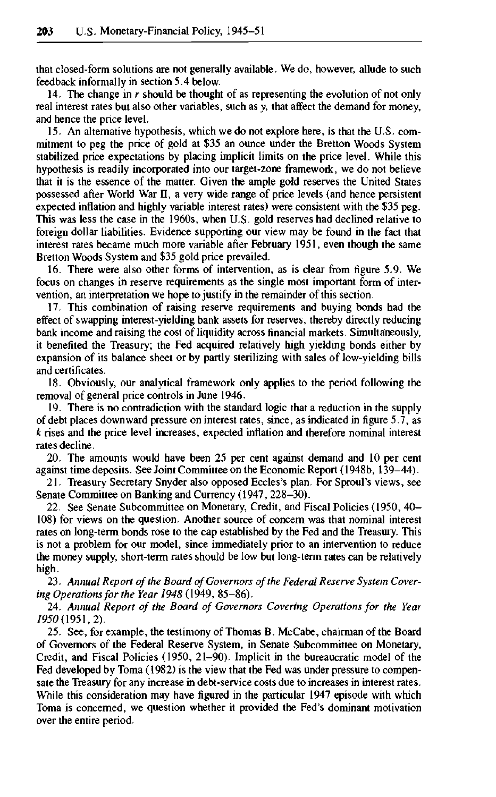that closed-form solutions are not generally available. We do, however, allude to such feedback informally in section 5.4 below.

14. The change in *r* should be thought of as representing the evolution of not only real interest rates but also other variables, such as *y,* that affect the demand for money, and hence the price level.

15. An alternative hypothesis, which we do not explore here, is that the U.S. commitment to peg the price of gold at \$35 an ounce under the Bretton Woods System stabilized price expectations by placing implicit limits on the price level. While this hypothesis is readily incorporated into our target-zone framework, we do not believe that it is the essence of the matter. Given the ample gold reserves the United States possessed after World War II, a very wide range of price levels (and hence persistent expected inflation and highly variable interest rates) were consistent with the \$35 peg. This was less the case in the 1960s, when U.S. gold reserves had declined relative to foreign dollar liabilities. Evidence supporting our view may be found in the fact that interest rates became much more variable after February 1951, even though the same Bretton Woods System and \$35 gold price prevailed.

16. There were also other forms of intervention, as is clear from figure 5.9. We focus on changes in reserve requirements as the single most important form of intervention, an interpretation we hope to justify in the remainder of this section.

17. This combination of raising reserve requirements and buying bonds had the effect of swapping interest-yielding bank assets for reserves, thereby directly reducing bank income and raising the cost of liquidity across financial markets. Simultaneously, it benefited the Treasury; the Fed acquired relatively high yielding bonds either by expansion of its balance sheet or by partly sterilizing with sales of low-yielding bills and certificates.

18. Obviously, our analytical framework only applies to the period following the removal of general price controls in June 1946.

19. There is no contradiction with the standard logic that a reduction in the supply of debt places downward pressure on interest rates, since, as indicated in figure 5.7, as *k* rises and the price level increases, expected inflation and therefore nominal interest rates decline.

20. The amounts would have been 25 per cent against demand and 10 per cent against time deposits. See Joint Committee on the Economic Report (1948b, 139-44).

21. Treasury Secretary Snyder also opposed Eccles's plan. For Sproul's views, see Senate Committee on Banking and Currency (1947, 228-30).

22. See Senate Subcommittee on Monetary, Credit, and Fiscal Policies (1950, 40- 108) for views on the question. Another source of concern was that nominal interest rates on long-term bonds rose to the cap established by the Fed and the Treasury. This is not a problem for our model, since immediately prior to an intervention to reduce the money supply, short-term rates should be low but long-term rates can be relatively high.

23. *Annual Report of the Board of Governors of the Federal Reserve System Covering Operations for the Year 1948* (1949, 85-86).

24. *Annual Report of the Board of Governors Covering Operations for the Year* 7950(1951,2).

25. See, for example, the testimony of Thomas B. McCabe, chairman of the Board of Governors of the Federal Reserve System, in Senate Subcommittee on Monetary, Credit, and Fiscal Policies (1950, 21-90). Implicit in the bureaucratic model of the Fed developed by Toma (1982) is the view that the Fed was under pressure to compensate the Treasury for any increase in debt-service costs due to increases in interest rates. While this consideration may have figured in the particular 1947 episode with which Toma is concerned, we question whether it provided the Fed's dominant motivation over the entire period.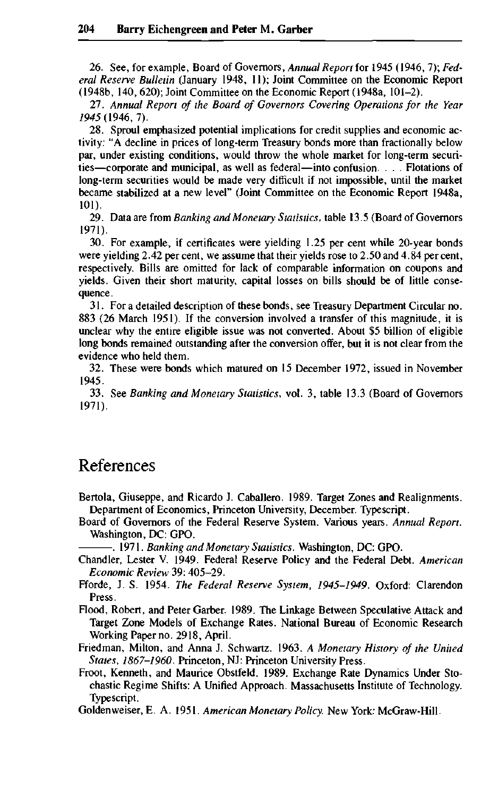26. See, for example, Board of Governors, *Annual Report* for 1945 (1946, 7); *Federal Reserve Bulletin* (January 1948, 11); Joint Committee on the Economic Report (1948b, 140, 620); Joint Committee on the Economic Report (1948a, 101-2).

27. *Annual Report of the Board of Governors Covering Operations for the Year* 7945(1946,7).

28. Sproul emphasized potential implications for credit supplies and economic activity: "A decline in prices of long-term Treasury bonds more than fractionally below par, under existing conditions, would throw the whole market for long-term securities—corporate and municipal, as well as federal—into confusion. . . . Flotations of long-term securities would be made very difficult if not impossible, until the market became stabilized at a new level" (Joint Committee on the Economic Report 1948a, 101).

29. Data are from *Banking and Monetary Statistics,* table 13.5 (Board of Governors 1971).

30. For example, if certificates were yielding 1.25 per cent while 20-year bonds were yielding 2.42 per cent, we assume that their yields rose to 2.50 and 4.84 per cent, respectively. Bills are omitted for lack of comparable information on coupons and yields. Given their short maturity, capital losses on bills should be of little consequence.

31. For a detailed description of these bonds, see Treasury Department Circular no. 883 (26 March 1951). If the conversion involved a transfer of this magnitude, it is unclear why the entire eligible issue was not converted. About \$5 billion of eligible long bonds remained outstanding after the conversion offer, but it is not clear from the evidence who held them.

32. These were bonds which matured on 15 December 1972, issued in November 1945.

33. See *Banking and Monetary Statistics,* vol. 3, table 13.3 (Board of Governors 1971).

# References

Bertola, Giuseppe, and Ricardo J. Caballero. 1989. Target Zones and Realignments. Department of Economics, Princeton University, December. Typescript.

Board of Governors of the Federal Reserve System. Various years. *Annual Report.* Washington, DC: GPO.

. 1971. *Banking and Monetary Statistics.* Washington, DC: GPO.

- Chandler, Lester V. 1949. Federal Reserve Policy and the Federal Debt. *American Economic Review* 39: 405-29.
- Fforde, J. S. 1954. *The Federal Reserve System, 1945-1949.* Oxford: Clarendon Press.
- Flood, Robert, and Peter Garber. 1989. The Linkage Between Speculative Attack and Target Zone Models of Exchange Rates. National Bureau of Economic Research Working Paper no. 2918, April.
- Friedman, Milton, and Anna J. Schwartz. 1963. *A Monetary History of the United States, 1867-1960.* Princeton, NJ: Princeton University Press.
- Froot, Kenneth, and Maurice Obstfeld. 1989. Exchange Rate Dynamics Under Stochastic Regime Shifts: A Unified Approach. Massachusetts Institute of Technology. Typescript.

Goldenweiser, E. A. 1951. *American Monetary Policy.* New York: McGraw-Hill.